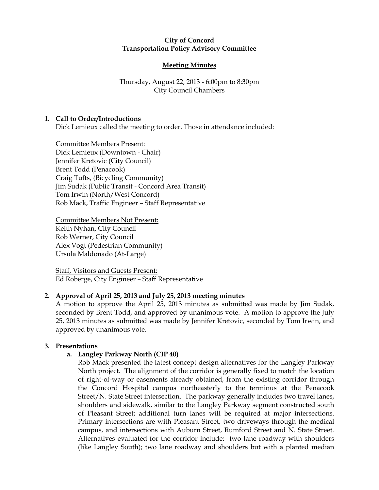### City of Concord Transportation Policy Advisory Committee

# Meeting Minutes

# Thursday, August 22, 2013 - 6:00pm to 8:30pm City Council Chambers

# 1. Call to Order/Introductions

Dick Lemieux called the meeting to order. Those in attendance included:

Committee Members Present: Dick Lemieux (Downtown - Chair) Jennifer Kretovic (City Council) Brent Todd (Penacook) Craig Tufts, (Bicycling Community) Jim Sudak (Public Transit - Concord Area Transit) Tom Irwin (North/West Concord) Rob Mack, Traffic Engineer – Staff Representative

Committee Members Not Present: Keith Nyhan, City Council Rob Werner, City Council Alex Vogt (Pedestrian Community) Ursula Maldonado (At-Large)

Staff, Visitors and Guests Present: Ed Roberge, City Engineer – Staff Representative

# 2. Approval of April 25, 2013 and July 25, 2013 meeting minutes

A motion to approve the April 25, 2013 minutes as submitted was made by Jim Sudak, seconded by Brent Todd, and approved by unanimous vote. A motion to approve the July 25, 2013 minutes as submitted was made by Jennifer Kretovic, seconded by Tom Irwin, and approved by unanimous vote.

# 3. Presentations

# a. Langley Parkway North (CIP 40)

Rob Mack presented the latest concept design alternatives for the Langley Parkway North project. The alignment of the corridor is generally fixed to match the location of right-of-way or easements already obtained, from the existing corridor through the Concord Hospital campus northeasterly to the terminus at the Penacook Street/N. State Street intersection. The parkway generally includes two travel lanes, shoulders and sidewalk, similar to the Langley Parkway segment constructed south of Pleasant Street; additional turn lanes will be required at major intersections. Primary intersections are with Pleasant Street, two driveways through the medical campus, and intersections with Auburn Street, Rumford Street and N. State Street. Alternatives evaluated for the corridor include: two lane roadway with shoulders (like Langley South); two lane roadway and shoulders but with a planted median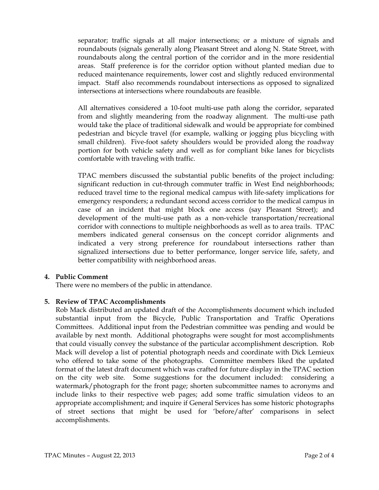separator; traffic signals at all major intersections; or a mixture of signals and roundabouts (signals generally along Pleasant Street and along N. State Street, with roundabouts along the central portion of the corridor and in the more residential areas. Staff preference is for the corridor option without planted median due to reduced maintenance requirements, lower cost and slightly reduced environmental impact. Staff also recommends roundabout intersections as opposed to signalized intersections at intersections where roundabouts are feasible.

All alternatives considered a 10-foot multi-use path along the corridor, separated from and slightly meandering from the roadway alignment. The multi-use path would take the place of traditional sidewalk and would be appropriate for combined pedestrian and bicycle travel (for example, walking or jogging plus bicycling with small children). Five-foot safety shoulders would be provided along the roadway portion for both vehicle safety and well as for compliant bike lanes for bicyclists comfortable with traveling with traffic.

TPAC members discussed the substantial public benefits of the project including: significant reduction in cut-through commuter traffic in West End neighborhoods; reduced travel time to the regional medical campus with life-safety implications for emergency responders; a redundant second access corridor to the medical campus in case of an incident that might block one access (say Pleasant Street); and development of the multi-use path as a non-vehicle transportation/recreational corridor with connections to multiple neighborhoods as well as to area trails. TPAC members indicated general consensus on the concept corridor alignments and indicated a very strong preference for roundabout intersections rather than signalized intersections due to better performance, longer service life, safety, and better compatibility with neighborhood areas.

# 4. Public Comment

There were no members of the public in attendance.

# 5. Review of TPAC Accomplishments

Rob Mack distributed an updated draft of the Accomplishments document which included substantial input from the Bicycle, Public Transportation and Traffic Operations Committees. Additional input from the Pedestrian committee was pending and would be available by next month. Additional photographs were sought for most accomplishments that could visually convey the substance of the particular accomplishment description. Rob Mack will develop a list of potential photograph needs and coordinate with Dick Lemieux who offered to take some of the photographs. Committee members liked the updated format of the latest draft document which was crafted for future display in the TPAC section on the city web site. Some suggestions for the document included: considering a watermark/photograph for the front page; shorten subcommittee names to acronyms and include links to their respective web pages; add some traffic simulation videos to an appropriate accomplishment; and inquire if General Services has some historic photographs of street sections that might be used for 'before/after' comparisons in select accomplishments.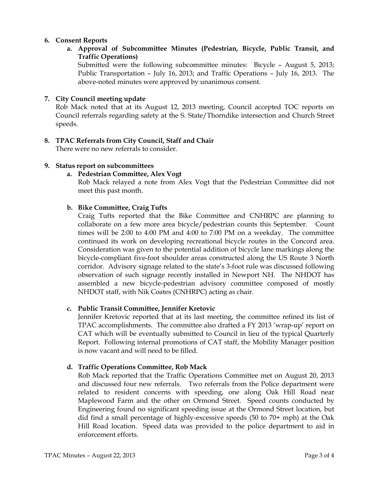# 6. Consent Reports

a. Approval of Subcommittee Minutes (Pedestrian, Bicycle, Public Transit, and Traffic Operations)

Submitted were the following subcommittee minutes: Bicycle – August 5, 2013; Public Transportation – July 16, 2013; and Traffic Operations – July 16, 2013. The above-noted minutes were approved by unanimous consent.

# 7. City Council meeting update

Rob Mack noted that at its August 12, 2013 meeting, Council accepted TOC reports on Council referrals regarding safety at the S. State/Thorndike intersection and Church Street speeds.

### 8. TPAC Referrals from City Council, Staff and Chair

There were no new referrals to consider.

### 9. Status report on subcommittees

### a. Pedestrian Committee, Alex Vogt

Rob Mack relayed a note from Alex Vogt that the Pedestrian Committee did not meet this past month.

### b. Bike Committee, Craig Tufts

Craig Tufts reported that the Bike Committee and CNHRPC are planning to collaborate on a few more area bicycle/pedestrian counts this September. Count times will be 2:00 to 4:00 PM and 4:00 to 7:00 PM on a weekday. The committee continued its work on developing recreational bicycle routes in the Concord area. Consideration was given to the potential addition of bicycle lane markings along the bicycle-compliant five-foot shoulder areas constructed along the US Route 3 North corridor. Advisory signage related to the state's 3-foot rule was discussed following observation of such signage recently installed in Newport NH. The NHDOT has assembled a new bicycle-pedestrian advisory committee composed of mostly NHDOT staff, with Nik Coates (CNHRPC) acting as chair.

### c. Public Transit Committee, Jennifer Kretovic

Jennifer Kretovic reported that at its last meeting, the committee refined its list of TPAC accomplishments. The committee also drafted a FY 2013 'wrap-up' report on CAT which will be eventually submitted to Council in lieu of the typical Quarterly Report. Following internal promotions of CAT staff, the Mobility Manager position is now vacant and will need to be filled.

### d. Traffic Operations Committee, Rob Mack

Rob Mack reported that the Traffic Operations Committee met on August 20, 2013 and discussed four new referrals. Two referrals from the Police department were related to resident concerns with speeding, one along Oak Hill Road near Maplewood Farm and the other on Ormond Street. Speed counts conducted by Engineering found no significant speeding issue at the Ormond Street location, but did find a small percentage of highly-excessive speeds (50 to 70+ mph) at the Oak Hill Road location. Speed data was provided to the police department to aid in enforcement efforts.